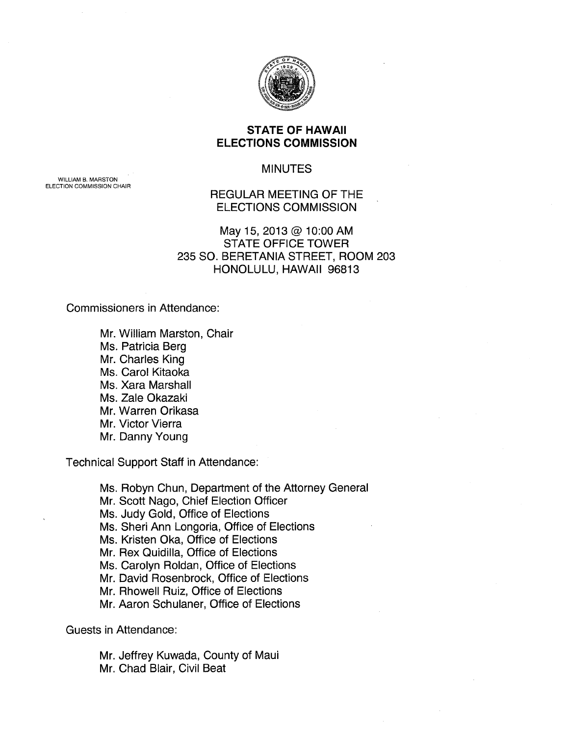

## **STATE OF HAWAII ELECTIONS COMMISSION**

## MINUTES

REGULAR MEETING OF THE ELECTIONS COMMISSION

## May 15, 2013@ 10:00 AM STATE OFFICE TOWER 235 SO. BERETANIA STREET, ROOM 203 HONOLULU, HAWAII 96813

Commissioners in Attendance:

Mr. William Marston, Chair Ms. Patricia Berg Mr. Charles King Ms. Carol Kitaoka Ms. Xara Marshall Ms. Zale Okazaki Mr. Warren Orikasa Mr. Victor Vierra Mr. Danny Young

Technical Support Staff in Attendance:

Ms. Robyn Chun, Department of the Attorney General Mr. Scott Nago, Chief Election Officer Ms. Judy Gold, Office of Elections Ms. Sheri Ann Longoria, Office of Elections Ms. Kristen Oka, Office of Elections Mr. Rex Quidilla, Office of Elections Ms. Carolyn Roldan, Office of Elections Mr. David Rosenbrock, Office of Elections Mr. Rhowell Ruiz, Office of Elections Mr. Aaron Schulaner, Office of Elections

Guests in Attendance:

Mr. Jeffrey Kuwada, County of Maui Mr. Chad Blair, Civil Beat

WILLIAM B. MARSTON ELECTION COMMISSION CHAIR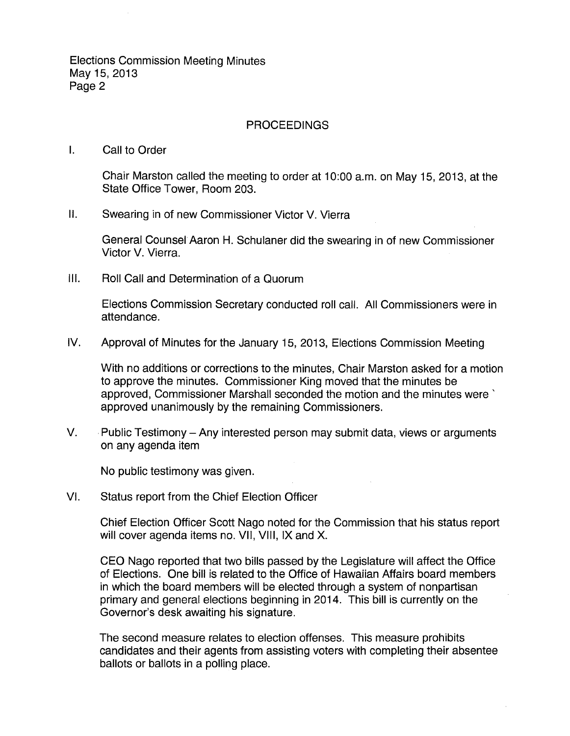Elections Commission Meeting Minutes May 15, 2013 Page 2

## PROCEEDINGS

I. Call to Order

Chair Marston called the meeting to order at 10:00 a.m. on May 15, 2013, at the State Office Tower, Room 203.

II. Swearing in of new Commissioner Victor V. Vierra

General Counsel Aaron H. Schulaner did the swearing in of new Commissioner Victor V. Vierra.

Ill. Roll Call and Determination of a Quorum

Elections Commission Secretary conducted roll call. All Commissioners were in attendance.

IV. Approval of Minutes for the January 15, 2013, Elections Commission Meeting

With no additions or corrections to the minutes, Chair Marston asked for a motion to approve the minutes. Commissioner King moved that the minutes be approved, Commissioner Marshall seconded the motion and the minutes were' approved unanimously by the remaining Commissioners.

V. Public Testimony – Any interested person may submit data, views or arguments on any agenda item

No public testimony was given.

VI. Status report from the Chief Election Officer

Chief Election Officer Scott Nago noted for the Commission that his status report will cover agenda items no. VII, VIII, IX and X.

CEO Nago reported that two bills passed by the Legislature will affect the Office of Elections. One bill is related to the Office of Hawaiian Affairs board members in which the board members will be elected through a system of nonpartisan primary and general elections beginning in 2014. This bill is currently on the Governor's desk awaiting his signature.

The second measure relates to election offenses. This measure prohibits candidates and their agents from assisting voters with completing their absentee ballots or ballots in a polling place.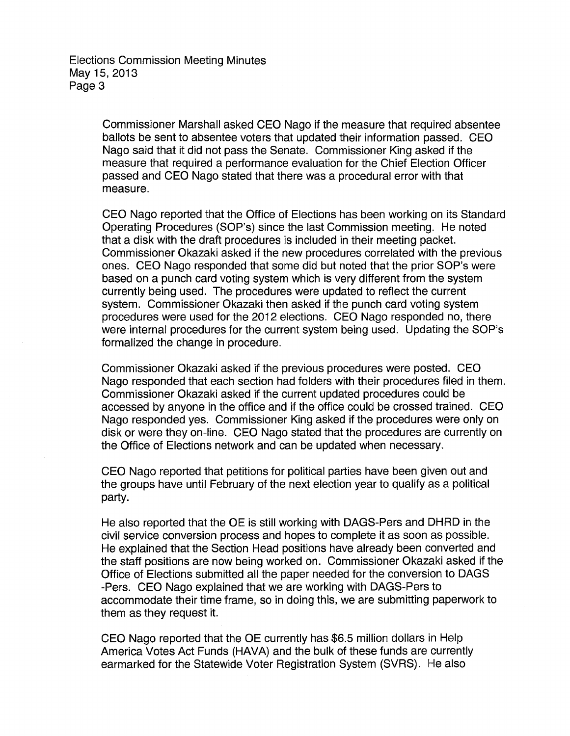Elections Commission Meeting Minutes May15,2013 Page 3

> Commissioner Marshall asked CEO Nago if the measure that required absentee ballots be sent to absentee voters that updated their information passed. CEO Nago said that it did not pass the Senate. Commissioner King asked if the measure that required a performance evaluation for the Chief Election Officer passed and CEO Nago stated that there was a procedural error with that measure.

CEO Nago reported that the Office of Elections has been working on its Standard Operating Procedures (SOP's) since the last Commission meeting. He noted that a disk with the draft procedures is included in their meeting packet. Commissioner Okazaki asked if the new procedures correlated with the previous ones. CEO Nago responded that some did but noted that the prior SOP's were based on a punch card voting system which is very different from the system currently being used. The procedures were updated to reflect the current system. Commissioner Okazaki then asked if the punch card voting system procedures were used for the 2012 elections. CEO Nago responded no, there were internal procedures for the current system being used. Updating the SOP's formalized the change in procedure.

Commissioner Okazaki asked if the previous procedures were posted. CEO Nago responded that each section had folders with their procedures filed in them. Commissioner Okazaki asked if the current updated procedures could be accessed by anyone in the office and if the office could be crossed trained. CEO Nago responded yes. Commissioner King asked if the procedures were only on disk or were they on-line. CEO Nago stated that the procedures are currently on the Office of Elections network and can be updated when necessary.

CEO Nago reported that petitions for political parties have been given out and the groups have until February of the next election year to qualify as a political party.

He also reported that the OE is still working with DAGS-Pers and DHRD in the civil service conversion process and hopes to complete it as soon as possible. He explained that the Section Head positions have already been converted and the staff positions are now being worked on. Commissioner Okazaki asked if the Office of Elections submitted all the paper needed for the conversion to DAGS -Pers. CEO Nago explained that we are working with DAGS-Pers to accommodate their time frame, so in doing this, we are submitting paperwork to them as they request it.

CEO Nago reported that the OE currently has \$6.5 million dollars in Help America Votes Act Funds (HAVA) and the bulk of these funds are currently earmarked for the Statewide Voter Registration System (SVRS). He also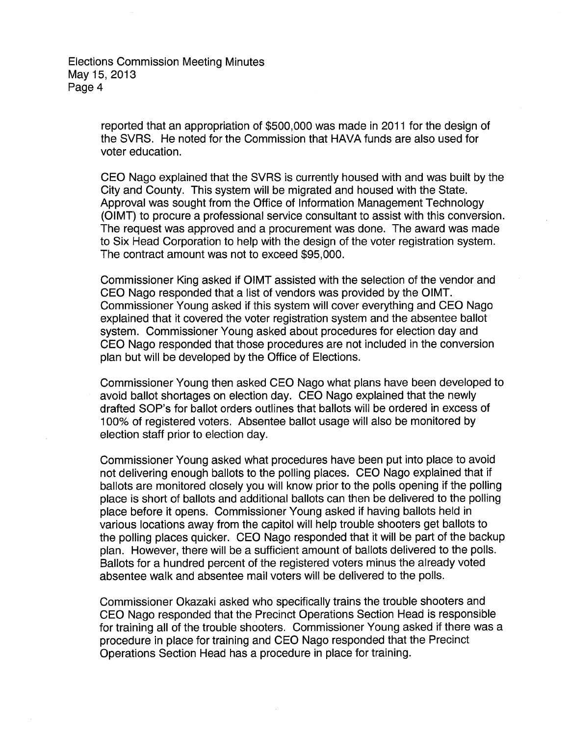Elections Commission Meeting Minutes May15,2013 Page 4

> reported that an appropriation of \$500,000 was made in 2011 for the design of the SVRS. He noted for the Commission that HAVA funds are also used for voter education.

CEO Nago explained that the SVRS is currently housed with and was built by the City and County. This system will be migrated and housed with the State. Approval was sought from the Office of Information Management Technology (OIMT) to procure a professional service consultant to assist with this conversion. The request was approved and a procurement was done. The award was made to Six Head Corporation to help with the design of the voter registration system. The contract amount was not to exceed \$95,000.

Commissioner King asked if OIMT assisted with the selection of the vendor and CEO Nago responded that a list of vendors was provided by the OIMT. Commissioner Young asked if this system will cover everything and CEO Nago explained that it covered the voter registration system and the absentee ballot system. Commissioner Young asked about procedures for election day and CEO Nago responded that those procedures are not included in the conversion plan but will be developed by the Office of Elections.

Commissioner Young then asked CEO Nago what plans have been developed to avoid ballot shortages on election day. CEO Nago explained that the newly drafted SOP's for ballot orders outlines that ballots will be ordered in excess of 1 00% of registered voters. Absentee ballot usage will also be monitored by election staff prior to election day.

Commissioner Young asked what procedures have been put into place to avoid not delivering enough ballots to the polling places. CEO Nago explained that if ballots are monitored closely you will know prior to the polls opening if the polling place is short of ballots and additional ballots can then be delivered to the polling place before it opens. Commissioner Young asked if having ballots held in various locations away from the capitol will help trouble shooters get ballots to the polling places quicker. CEO Nago responded that it will be part of the backup plan. However, there will be a sufficient amount of ballots delivered to the polls. Ballots for a hundred percent of the registered voters minus the already voted absentee walk and absentee mail voters will be delivered to the polls.

Commissioner Okazaki asked who specifically trains the trouble shooters and CEO Nago responded that the Precinct Operations Section Head is responsible for training all of the trouble shooters. Commissioner Young asked if there was a procedure in place for training and CEO Nago responded that the Precinct Operations Section Head has a procedure in place for training.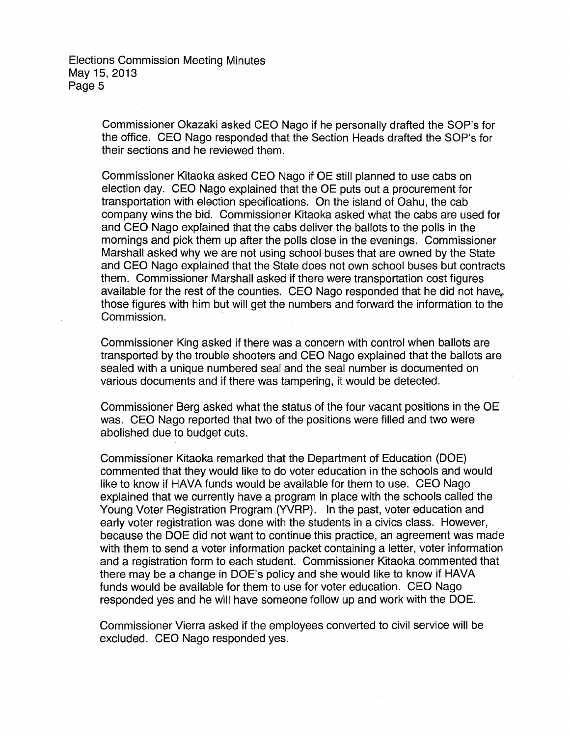Elections Commission Meeting Minutes May15,2013 Page 5

> Commissioner Okazaki asked CEO Nago if he personally drafted the SOP's for the office. CEO Nago responded that the Section Heads drafted the SOP's for their sections and he reviewed them.

Commissioner Kitaoka asked CEO Nago if OE still planned to use cabs on election day. CEO Nago explained that the OE puts out a procurement for transportation with election specifications. On the island of Oahu, the cab company wins the bid. Commissioner Kitaoka asked what the cabs are used for and CEO Nago explained that the cabs deliver the ballots to the polls in the mornings and pick them up after the polls close in the evenings. Commissioner Marshall asked why we are not using school buses that are owned by the State and CEO Nago explained that the State does not own school buses but contracts them. Commissioner Marshall asked if there were transportation cost figures available for the rest of the counties. CEO Nago responded that he did not have. those figures with him but will get the numbers and forward the information to the Commission.

Commissioner King asked if there was a concern with control when ballots are transported by the trouble shooters and CEO Nago explained that the ballots are sealed with a unique numbered seal and the seal number is documented on various documents and if there was tampering, it would be detected.

Commissioner Berg asked what the status of the four vacant positions in the OE was. CEO Nago reported that two of the positions were filled and two were abolished due to budget cuts.

Commissioner Kitaoka remarked that the Department of Education (DOE) commented that they would like to do voter education in the schools and would like to know if HAVA funds would be available for them to use. CEO Nago explained that we currently have a program in place with the schools called the Young Voter Registration Program (YVRP). In the past, voter education and early voter registration was done with the students in a civics class. However, because the DOE did not want to continue this practice, an agreement was made with them to send a voter information packet containing a letter, voter information and a registration form to each student. Commissioner Kitaoka commented that there may be a change in DOE's policy and she would like to know if HAVA funds would be available for them to use for voter education. CEO Nago responded yes and he will have someone follow up and work with the DOE.

Commissioner Vierra asked if the employees converted to civil service will be excluded. CEO Nago responded yes.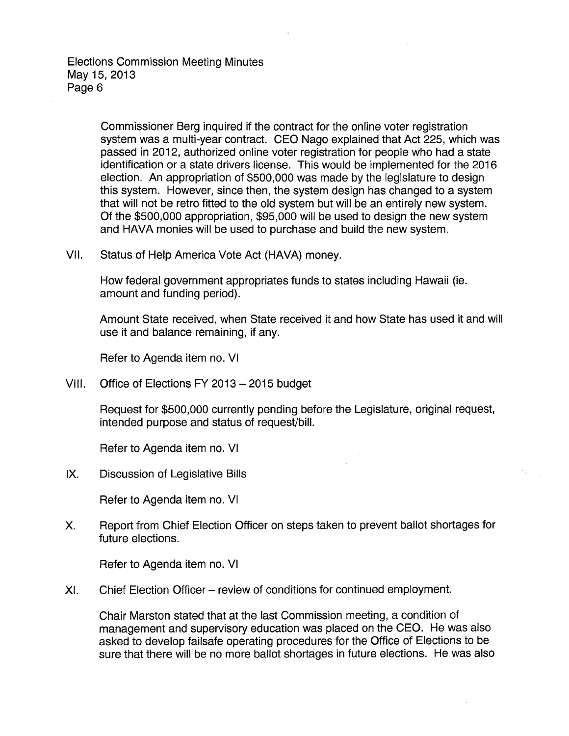Elections Commission Meeting Minutes May 15, 2013 Page 6

> Commissioner Berg inquired if the contract for the online voter registration system was a multi-year contract. CEO Nago explained that Act 225, which was passed in 2012, authorized online voter registration for people who had a state identification or a state drivers license. This would be implemented for the 2016 election. An appropriation of \$500,000 was made by the legislature to design this system. However, since then, the system design has changed to a system that will not be retro fitted to the old system but will be an entirely new system. Of the \$500,000 appropriation, \$95,000 will be used to design the new system and HAVA monies will be used to purchase and build the new system.

VII. Status of Help America Vote Act (HAVA) money.

How federal government appropriates funds to states including Hawaii (ie. amount and funding period).

Amount State received, when State received it and how State has used it and will use it and balance remaining, if any.

Refer to Agenda item no. VI

VIII. Office of Elections FY 2013-2015 budget

Request for \$500,000 currently pending before the Legislature, original request, intended purpose and status of request/bill.

Refer to Agenda item no. VI

IX. Discussion of Legislative Bills

Refer to Agenda item no. VI

X. Report from Chief Election Officer on steps taken to prevent ballot shortages for future elections.

Refer to Agenda item no. VI

XI. Chief Election Officer – review of conditions for continued employment.

Chair Marston stated that at the last Commission meeting, a condition of management and supervisory education was placed on the CEO. He was also asked to develop failsafe operating procedures for the Office of Elections to be sure that there will be no more ballot shortages in future elections. He was also